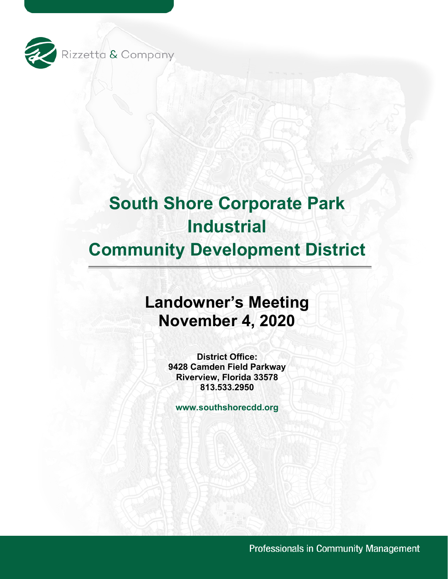

# **South Shore Corporate Park Industrial**

## **Community Development District**

### **Landowner's Meeting November 4, 2020**

**District Office: 9428 Camden Field Parkway Riverview, Florida 33578 813.533.2950**

**www.southshorecdd.org**

Professionals in Community Management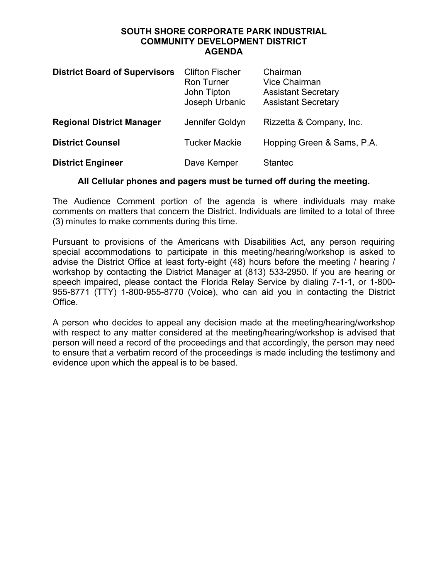#### **SOUTH SHORE CORPORATE PARK INDUSTRIAL COMMUNITY DEVELOPMENT DISTRICT AGENDA**

| <b>District Board of Supervisors</b> | <b>Clifton Fischer</b><br><b>Ron Turner</b><br>John Tipton<br>Joseph Urbanic | Chairman<br>Vice Chairman<br><b>Assistant Secretary</b><br><b>Assistant Secretary</b> |
|--------------------------------------|------------------------------------------------------------------------------|---------------------------------------------------------------------------------------|
| <b>Regional District Manager</b>     | Jennifer Goldyn                                                              | Rizzetta & Company, Inc.                                                              |
| <b>District Counsel</b>              | <b>Tucker Mackie</b>                                                         | Hopping Green & Sams, P.A.                                                            |
| <b>District Engineer</b>             | Dave Kemper                                                                  | <b>Stantec</b>                                                                        |

#### **All Cellular phones and pagers must be turned off during the meeting.**

The Audience Comment portion of the agenda is where individuals may make comments on matters that concern the District. Individuals are limited to a total of three (3) minutes to make comments during this time.

Pursuant to provisions of the Americans with Disabilities Act, any person requiring special accommodations to participate in this meeting/hearing/workshop is asked to advise the District Office at least forty-eight (48) hours before the meeting / hearing / workshop by contacting the District Manager at (813) 533-2950. If you are hearing or speech impaired, please contact the Florida Relay Service by dialing 7-1-1, or 1-800- 955-8771 (TTY) 1-800-955-8770 (Voice), who can aid you in contacting the District Office.

A person who decides to appeal any decision made at the meeting/hearing/workshop with respect to any matter considered at the meeting/hearing/workshop is advised that person will need a record of the proceedings and that accordingly, the person may need to ensure that a verbatim record of the proceedings is made including the testimony and evidence upon which the appeal is to be based.